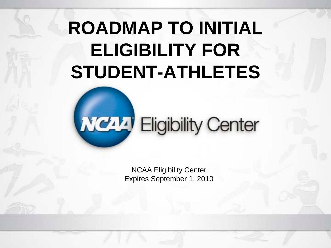## **ROADMAP TO INITIAL ELIGIBILITY FOR STUDENT-ATHLETES**

## Weztzj Eligibility Center

NCAA Eligibility Center Expires September 1, 2010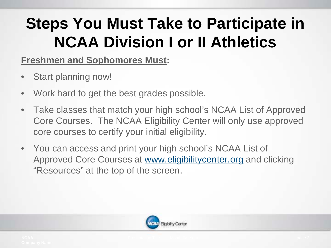### **Freshmen and Sophomores Must:**

- Start planning now!
- Work hard to get the best grades possible.
- Take classes that match your high school's NCAA List of Approved Core Courses. The NCAA Eligibility Center will only use approved core courses to certify your initial eligibility.
- You can access and print your high school's NCAA List of Approved Core Courses at www.eligibilitycenter.org and clicking "Resources" at the top of the screen.

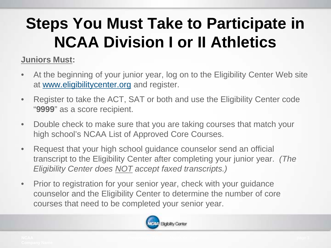#### **Juniors Must:**

- At the beginning of your junior year, log on to the Eligibility Center Web site at www.eligibilitycenter.org and register.
- Register to take the ACT, SAT or both and use the Eligibility Center code "**9999**" as a score recipient.
- Double check to make sure that you are taking courses that match your high school's NCAA List of Approved Core Courses.
- Request that your high school guidance counselor send an official transcript to the Eligibility Center after completing your junior year. *(The Eligibility Center does NOT accept faxed transcripts.)*
- Prior to registration for your senior year, check with your guidance counselor and the Eligibility Center to determine the number of core courses that need to be completed your senior year.

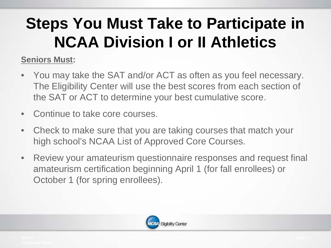### **Seniors Must:**

- You may take the SAT and/or ACT as often as you feel necessary. The Eligibility Center will use the best scores from each section of the SAT or ACT to determine your best cumulative score.
- Continue to take core courses.
- Check to make sure that you are taking courses that match your high school's NCAA List of Approved Core Courses.
- Review your amateurism questionnaire responses and request final amateurism certification beginning April 1 (for fall enrollees) or October 1 (for spring enrollees).

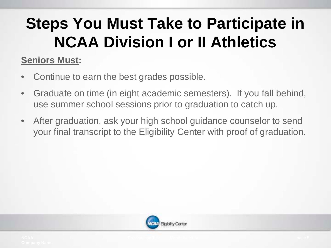### **Seniors Must:**

- Continue to earn the best grades possible.
- Graduate on time (in eight academic semesters). If you fall behind, use summer school sessions prior to graduation to catch up.
- After graduation, ask your high school guidance counselor to send your final transcript to the Eligibility Center with proof of graduation.

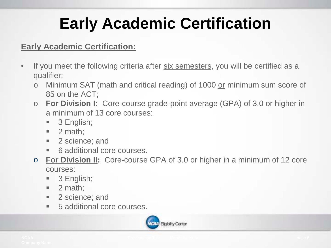### **Early Academic Certification**

### **Early Academic Certification:**

- If you meet the following criteria after six semesters, you will be certified as a qualifier:
	- o Minimum SAT (math and critical reading) of 1000 or minimum sum score of 85 on the ACT;
	- o **For Division I:** Core-course grade-point average (GPA) of 3.0 or higher in a minimum of 13 core courses:
		- 3 English;
		- $\blacksquare$  2 math;
		- 2 science; and
		- 6 additional core courses.
	- o **For Division II:** Core-course GPA of 3.0 or higher in a minimum of 12 core courses:
		- 3 English;
		- $\blacksquare$  2 math;
		- 2 science; and
		- 5 additional core courses.

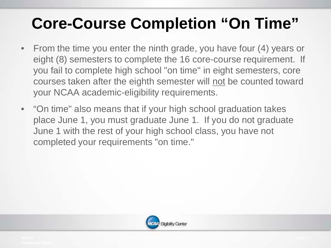### **Core-Course Completion "On Time"**

- From the time you enter the ninth grade, you have four (4) years or eight (8) semesters to complete the 16 core-course requirement. If you fail to complete high school "on time" in eight semesters, core courses taken after the eighth semester will not be counted toward your NCAA academic-eligibility requirements.
- "On time" also means that if your high school graduation takes place June 1, you must graduate June 1. If you do not graduate June 1 with the rest of your high school class, you have not completed your requirements "on time."

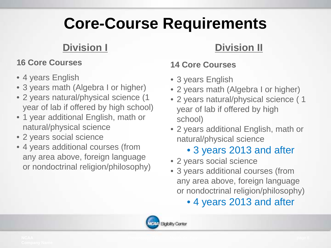### **Core-Course Requirements**

### **Division I**

### **16 Core Courses**

- 4 years English
- 3 years math (Algebra I or higher)
- 2 years natural/physical science (1 year of lab if offered by high school)
- 1 year additional English, math or natural/physical science
- 2 years social science
- 4 years additional courses (from any area above, foreign language or nondoctrinal religion/philosophy)

### **Division II**

### **14 Core Courses**

- 3 years English
- 2 years math (Algebra I or higher)
- 2 years natural/physical science ( 1 year of lab if offered by high school)
- 2 years additional English, math or natural/physical science
	- 3 years 2013 and after
- 2 years social science
- 3 years additional courses (from any area above, foreign language or nondoctrinal religion/philosophy)
	- 4 years 2013 and after

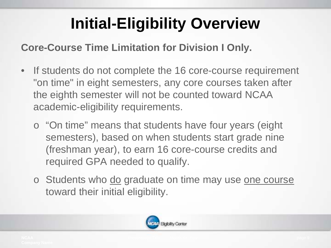## **Initial-Eligibility Overview**

**Core-Course Time Limitation for Division I Only.** 

- If students do not complete the 16 core-course requirement "on time" in eight semesters, any core courses taken after the eighth semester will not be counted toward NCAA academic-eligibility requirements.
	- o "On time" means that students have four years (eight semesters), based on when students start grade nine (freshman year), to earn 16 core-course credits and required GPA needed to qualify.
	- o Students who do graduate on time may use one course toward their initial eligibility.

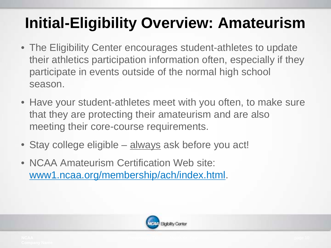### **Initial-Eligibility Overview: Amateurism**

- The Eligibility Center encourages student-athletes to update their athletics participation information often, especially if they participate in events outside of the normal high school season.
- Have your student-athletes meet with you often, to make sure that they are protecting their amateurism and are also meeting their core-course requirements.
- Stay college eligible always ask before you act!
- NCAA Amateurism Certification Web site: www1.ncaa.org/membership/ach/index.html.

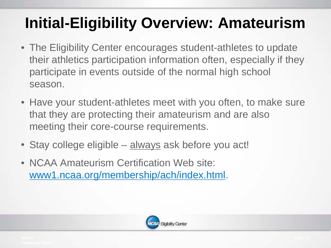### **Initial-Eligibility Overview: Amateurism**

- The Eligibility Center encourages student-athletes to update their athletics participation information often, especially if they participate in events outside of the normal high school season.
- Have your student-athletes meet with you often, to make sure that they are protecting their amateurism and are also meeting their core-course requirements.
- Stay college eligible always ask before you act!
- NCAA Amateurism Certification Web site: www1.ncaa.org/membership/ach/index.html.

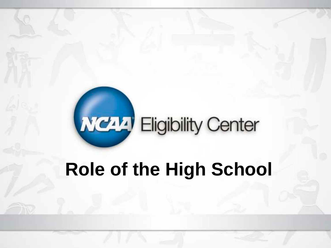## **Wealth** Eligibility Center

## **Role of the High School**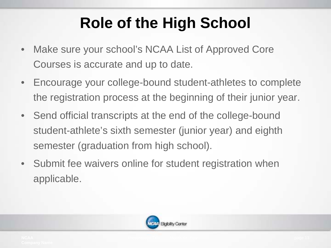### **Role of the High School**

- Make sure your school's NCAA List of Approved Core Courses is accurate and up to date.
- Encourage your college-bound student-athletes to complete the registration process at the beginning of their junior year.
- Send official transcripts at the end of the college-bound student-athlete's sixth semester (junior year) and eighth semester (graduation from high school).
- Submit fee waivers online for student registration when applicable.

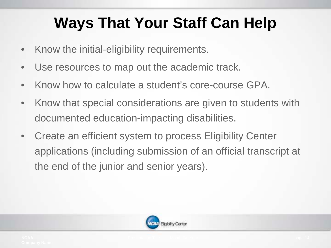### **Ways That Your Staff Can Help**

- Know the initial-eligibility requirements.
- Use resources to map out the academic track.
- Know how to calculate a student's core-course GPA.
- Know that special considerations are given to students with documented education-impacting disabilities.
- Create an efficient system to process Eligibility Center applications (including submission of an official transcript at the end of the junior and senior years).

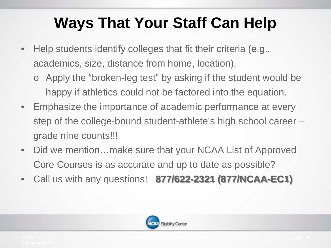### **Ways That Your Staff Can Help**

- Help students identify colleges that fit their criteria (e.g., academics, size, distance from home, location).
	- o Apply the "broken-leg test" by asking if the student would be happy if athletics could not be factored into the equation.
- Emphasize the importance of academic performance at every step of the college-bound student-athlete's high school career – grade nine counts!!!
- Did we mention...make sure that your NCAA List of Approved Core Courses is as accurate and up to date as possible?
- Call us with any questions! **877/622-2321 (877/NCAA-EC1)**

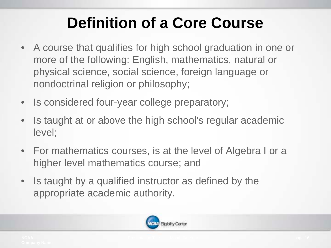### **Definition of a Core Course**

- A course that qualifies for high school graduation in one or more of the following: English, mathematics, natural or physical science, social science, foreign language or nondoctrinal religion or philosophy;
- Is considered four-year college preparatory;
- Is taught at or above the high school's regular academic level;
- For mathematics courses, is at the level of Algebra I or a higher level mathematics course; and
- Is taught by a qualified instructor as defined by the appropriate academic authority.

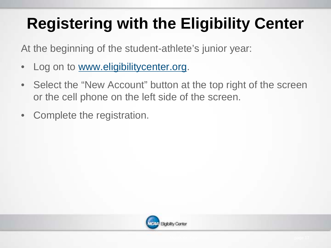## **Registering with the Eligibility Center**

At the beginning of the student-athlete's junior year:

- Log on to www.eligibilitycenter.org.
- Select the "New Account" button at the top right of the screen or the cell phone on the left side of the screen.
- Complete the registration.

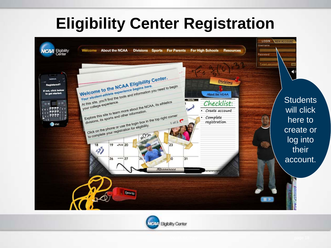### **Eligibility Center Registration**





**Eligibility Center** 

глл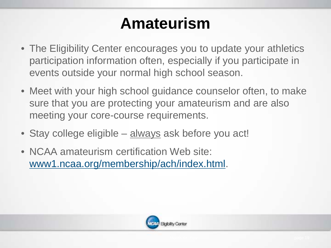### **Amateurism**

- The Eligibility Center encourages you to update your athletics participation information often, especially if you participate in events outside your normal high school season.
- Meet with your high school guidance counselor often, to make sure that you are protecting your amateurism and are also meeting your core-course requirements.
- Stay college eligible always ask before you act!
- NCAA amateurism certification Web site: www1.ncaa.org/membership/ach/index.html.

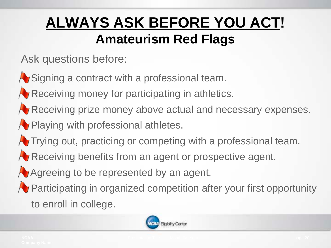### **ALWAYS ASK BEFORE YOU ACT! Amateurism Red Flags**

Ask questions before:

- Signing a contract with a professional team.
- **Receiving money for participating in athletics.**
- **A** Receiving prize money above actual and necessary expenses.
- **Playing with professional athletes.**
- **A** Trying out, practicing or competing with a professional team.
- **A** Receiving benefits from an agent or prospective agent.
- **A** Agreeing to be represented by an agent.
- **Participating in organized competition after your first opportunity** to enroll in college.

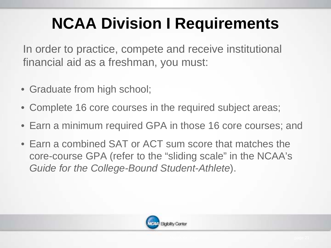## **NCAA Division I Requirements**

In order to practice, compete and receive institutional financial aid as a freshman, you must:

- Graduate from high school;
- Complete 16 core courses in the required subject areas;
- Earn a minimum required GPA in those 16 core courses; and
- Earn a combined SAT or ACT sum score that matches the core-course GPA (refer to the "sliding scale" in the NCAA's *Guide for the College-Bound Student-Athlete*).

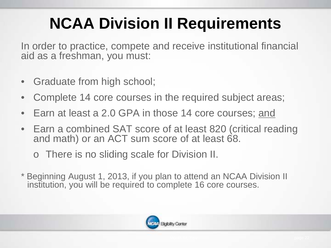## **NCAA Division II Requirements**

In order to practice, compete and receive institutional financial aid as a freshman, you must:

- Graduate from high school;
- Complete 14 core courses in the required subject areas;
- Earn at least a 2.0 GPA in those 14 core courses; and
- Earn a combined SAT score of at least 820 (critical reading and math) or an ACT sum score of at least 68.
	- o There is no sliding scale for Division II.
- \* Beginning August 1, 2013, if you plan to attend an NCAA Division II institution, you will be required to complete 16 core courses.

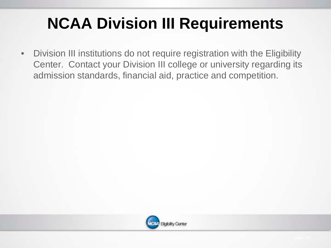## **NCAA Division III Requirements**

• Division III institutions do not require registration with the Eligibility Center. Contact your Division III college or university regarding its admission standards, financial aid, practice and competition.

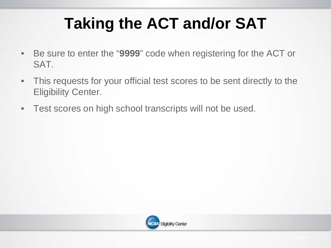## **Taking the ACT and/or SAT**

- Be sure to enter the "**9999**" code when registering for the ACT or SAT.
- This requests for your official test scores to be sent directly to the Eligibility Center.
- Test scores on high school transcripts will not be used.

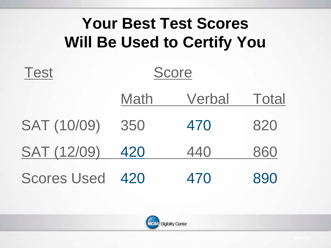| <b>Your Best Test Scores</b><br><b>Will Be Used to Certify You</b> |             |        |              |
|--------------------------------------------------------------------|-------------|--------|--------------|
| <b>Test</b><br><b>Score</b>                                        |             |        |              |
|                                                                    | <b>Math</b> | Verbal | <b>Total</b> |
| <b>SAT (10/09)</b>                                                 | 350         | 470    | 820          |
| <b>SAT (12/09)</b>                                                 | 420         | 440    | 860          |
| <b>Scores Used</b>                                                 | 420         | 470    |              |

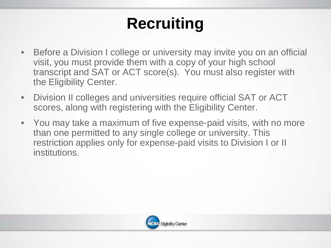## **Recruiting**

- Before a Division I college or university may invite you on an official visit, you must provide them with a copy of your high school transcript and SAT or ACT score(s). You must also register with the Eligibility Center.
- Division II colleges and universities require official SAT or ACT scores, along with registering with the Eligibility Center.
- You may take a maximum of five expense-paid visits, with no more than one permitted to any single college or university. This restriction applies only for expense-paid visits to Division I or II institutions.

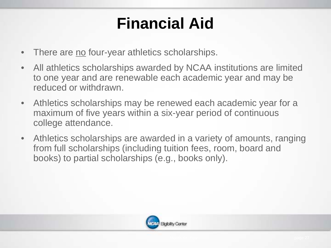### **Financial Aid**

- There are no four-year athletics scholarships.
- All athletics scholarships awarded by NCAA institutions are limited to one year and are renewable each academic year and may be reduced or withdrawn.
- Athletics scholarships may be renewed each academic year for a maximum of five years within a six-year period of continuous college attendance.
- Athletics scholarships are awarded in a variety of amounts, ranging from full scholarships (including tuition fees, room, board and books) to partial scholarships (e.g., books only).

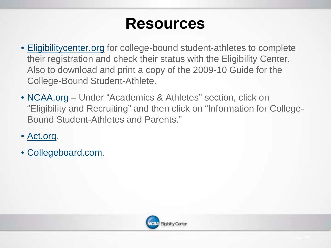### **Resources**

- Eligibilitycenter.org for college-bound student-athletes to complete their registration and check their status with the Eligibility Center. Also to download and print a copy of the 2009-10 Guide for the College-Bound Student-Athlete.
- NCAA.org Under "Academics & Athletes" section, click on "Eligibility and Recruiting" and then click on "Information for College-Bound Student-Athletes and Parents."
- Act.org.
- Collegeboard.com.

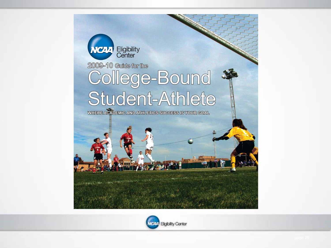

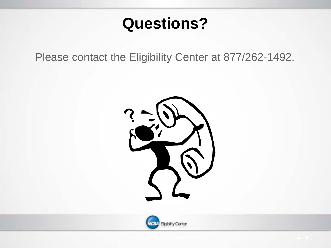### **Questions?**

Please contact the Eligibility Center at 877/262-1492.